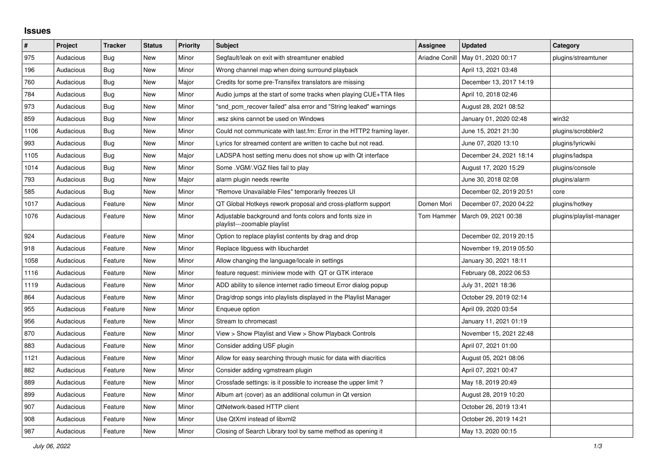## **Issues**

| ∦    | Project   | <b>Tracker</b> | <b>Status</b> | <b>Priority</b> | Subject                                                                                  | <b>Assignee</b> | <b>Updated</b>          | Category                 |
|------|-----------|----------------|---------------|-----------------|------------------------------------------------------------------------------------------|-----------------|-------------------------|--------------------------|
| 975  | Audacious | <b>Bug</b>     | <b>New</b>    | Minor           | Segfault/leak on exit with streamtuner enabled                                           | Ariadne Conill  | May 01, 2020 00:17      | plugins/streamtuner      |
| 196  | Audacious | Bug            | <b>New</b>    | Minor           | Wrong channel map when doing surround playback                                           |                 | April 13, 2021 03:48    |                          |
| 760  | Audacious | Bug            | <b>New</b>    | Major           | Credits for some pre-Transifex translators are missing                                   |                 | December 13, 2017 14:19 |                          |
| 784  | Audacious | Bug            | New           | Minor           | Audio jumps at the start of some tracks when playing CUE+TTA files                       |                 | April 10, 2018 02:46    |                          |
| 973  | Audacious | Bug            | <b>New</b>    | Minor           | "snd pcm recover failed" alsa error and "String leaked" warnings                         |                 | August 28, 2021 08:52   |                          |
| 859  | Audacious | <b>Bug</b>     | <b>New</b>    | Minor           | wsz skins cannot be used on Windows                                                      |                 | January 01, 2020 02:48  | win32                    |
| 1106 | Audacious | Bug            | New           | Minor           | Could not communicate with last.fm: Error in the HTTP2 framing layer.                    |                 | June 15, 2021 21:30     | plugins/scrobbler2       |
| 993  | Audacious | <b>Bug</b>     | <b>New</b>    | Minor           | Lyrics for streamed content are written to cache but not read.                           |                 | June 07, 2020 13:10     | plugins/lyricwiki        |
| 1105 | Audacious | <b>Bug</b>     | <b>New</b>    | Major           | LADSPA host setting menu does not show up with Qt interface                              |                 | December 24, 2021 18:14 | plugins/ladspa           |
| 1014 | Audacious | <b>Bug</b>     | <b>New</b>    | Minor           | Some .VGM/.VGZ files fail to play                                                        |                 | August 17, 2020 15:29   | plugins/console          |
| 793  | Audacious | Bug            | <b>New</b>    | Major           | alarm plugin needs rewrite                                                               |                 | June 30, 2018 02:08     | plugins/alarm            |
| 585  | Audacious | Bug            | <b>New</b>    | Minor           | "Remove Unavailable Files" temporarily freezes UI                                        |                 | December 02, 2019 20:51 | core                     |
| 1017 | Audacious | Feature        | New           | Minor           | QT Global Hotkeys rework proposal and cross-platform support                             | Domen Mori      | December 07, 2020 04:22 | plugins/hotkey           |
| 1076 | Audacious | Feature        | New           | Minor           | Adjustable background and fonts colors and fonts size in<br>playlist---zoomable playlist | Tom Hammer      | March 09, 2021 00:38    | plugins/playlist-manager |
| 924  | Audacious | Feature        | <b>New</b>    | Minor           | Option to replace playlist contents by drag and drop                                     |                 | December 02, 2019 20:15 |                          |
| 918  | Audacious | Feature        | New           | Minor           | Replace libguess with libuchardet                                                        |                 | November 19, 2019 05:50 |                          |
| 1058 | Audacious | Feature        | <b>New</b>    | Minor           | Allow changing the language/locale in settings                                           |                 | January 30, 2021 18:11  |                          |
| 1116 | Audacious | Feature        | New           | Minor           | feature request: miniview mode with QT or GTK interace                                   |                 | February 08, 2022 06:53 |                          |
| 1119 | Audacious | Feature        | New           | Minor           | ADD ability to silence internet radio timeout Error dialog popup                         |                 | July 31, 2021 18:36     |                          |
| 864  | Audacious | Feature        | New           | Minor           | Drag/drop songs into playlists displayed in the Playlist Manager                         |                 | October 29, 2019 02:14  |                          |
| 955  | Audacious | Feature        | New           | Minor           | Enqueue option                                                                           |                 | April 09, 2020 03:54    |                          |
| 956  | Audacious | Feature        | <b>New</b>    | Minor           | Stream to chromecast                                                                     |                 | January 11, 2021 01:19  |                          |
| 870  | Audacious | Feature        | <b>New</b>    | Minor           | View > Show Playlist and View > Show Playback Controls                                   |                 | November 15, 2021 22:48 |                          |
| 883  | Audacious | Feature        | <b>New</b>    | Minor           | Consider adding USF plugin                                                               |                 | April 07, 2021 01:00    |                          |
| 1121 | Audacious | Feature        | New           | Minor           | Allow for easy searching through music for data with diacritics                          |                 | August 05, 2021 08:06   |                          |
| 882  | Audacious | Feature        | <b>New</b>    | Minor           | Consider adding vgmstream plugin                                                         |                 | April 07, 2021 00:47    |                          |
| 889  | Audacious | Feature        | <b>New</b>    | Minor           | Crossfade settings: is it possible to increase the upper limit?                          |                 | May 18, 2019 20:49      |                          |
| 899  | Audacious | Feature        | <b>New</b>    | Minor           | Album art (cover) as an additional columun in Qt version                                 |                 | August 28, 2019 10:20   |                          |
| 907  | Audacious | Feature        | New           | Minor           | QtNetwork-based HTTP client                                                              |                 | October 26, 2019 13:41  |                          |
| 908  | Audacious | Feature        | New           | Minor           | Use QtXml instead of libxml2                                                             |                 | October 26, 2019 14:21  |                          |
| 987  | Audacious | Feature        | New           | Minor           | Closing of Search Library tool by same method as opening it                              |                 | May 13, 2020 00:15      |                          |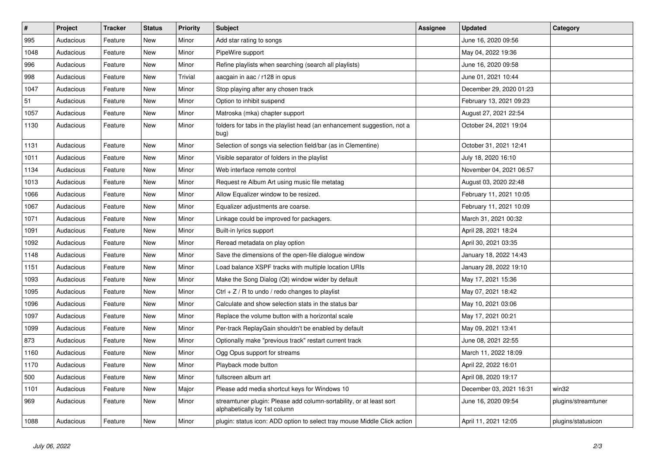| $\vert$ # | Project   | <b>Tracker</b> | <b>Status</b> | <b>Priority</b> | <b>Subject</b>                                                                                      | <b>Assignee</b> | <b>Updated</b>          | Category            |
|-----------|-----------|----------------|---------------|-----------------|-----------------------------------------------------------------------------------------------------|-----------------|-------------------------|---------------------|
| 995       | Audacious | Feature        | <b>New</b>    | Minor           | Add star rating to songs                                                                            |                 | June 16, 2020 09:56     |                     |
| 1048      | Audacious | Feature        | <b>New</b>    | Minor           | PipeWire support                                                                                    |                 | May 04, 2022 19:36      |                     |
| 996       | Audacious | Feature        | <b>New</b>    | Minor           | Refine playlists when searching (search all playlists)                                              |                 | June 16, 2020 09:58     |                     |
| 998       | Audacious | Feature        | New           | Trivial         | aacgain in aac / r128 in opus                                                                       |                 | June 01, 2021 10:44     |                     |
| 1047      | Audacious | Feature        | <b>New</b>    | Minor           | Stop playing after any chosen track                                                                 |                 | December 29, 2020 01:23 |                     |
| 51        | Audacious | Feature        | <b>New</b>    | Minor           | Option to inhibit suspend                                                                           |                 | February 13, 2021 09:23 |                     |
| 1057      | Audacious | Feature        | New           | Minor           | Matroska (mka) chapter support                                                                      |                 | August 27, 2021 22:54   |                     |
| 1130      | Audacious | Feature        | New           | Minor           | folders for tabs in the playlist head (an enhancement suggestion, not a<br>bug)                     |                 | October 24, 2021 19:04  |                     |
| 1131      | Audacious | Feature        | <b>New</b>    | Minor           | Selection of songs via selection field/bar (as in Clementine)                                       |                 | October 31, 2021 12:41  |                     |
| 1011      | Audacious | Feature        | New           | Minor           | Visible separator of folders in the playlist                                                        |                 | July 18, 2020 16:10     |                     |
| 1134      | Audacious | Feature        | New           | Minor           | Web interface remote control                                                                        |                 | November 04, 2021 06:57 |                     |
| 1013      | Audacious | Feature        | <b>New</b>    | Minor           | Request re Album Art using music file metatag                                                       |                 | August 03, 2020 22:48   |                     |
| 1066      | Audacious | Feature        | <b>New</b>    | Minor           | Allow Equalizer window to be resized.                                                               |                 | February 11, 2021 10:05 |                     |
| 1067      | Audacious | Feature        | New           | Minor           | Equalizer adjustments are coarse.                                                                   |                 | February 11, 2021 10:09 |                     |
| 1071      | Audacious | Feature        | <b>New</b>    | Minor           | Linkage could be improved for packagers.                                                            |                 | March 31, 2021 00:32    |                     |
| 1091      | Audacious | Feature        | New           | Minor           | Built-in lyrics support                                                                             |                 | April 28, 2021 18:24    |                     |
| 1092      | Audacious | Feature        | <b>New</b>    | Minor           | Reread metadata on play option                                                                      |                 | April 30, 2021 03:35    |                     |
| 1148      | Audacious | Feature        | New           | Minor           | Save the dimensions of the open-file dialogue window                                                |                 | January 18, 2022 14:43  |                     |
| 1151      | Audacious | Feature        | <b>New</b>    | Minor           | Load balance XSPF tracks with multiple location URIs                                                |                 | January 28, 2022 19:10  |                     |
| 1093      | Audacious | Feature        | <b>New</b>    | Minor           | Make the Song Dialog (Qt) window wider by default                                                   |                 | May 17, 2021 15:36      |                     |
| 1095      | Audacious | Feature        | <b>New</b>    | Minor           | Ctrl $+$ Z / R to undo / redo changes to playlist                                                   |                 | May 07, 2021 18:42      |                     |
| 1096      | Audacious | Feature        | New           | Minor           | Calculate and show selection stats in the status bar                                                |                 | May 10, 2021 03:06      |                     |
| 1097      | Audacious | Feature        | <b>New</b>    | Minor           | Replace the volume button with a horizontal scale                                                   |                 | May 17, 2021 00:21      |                     |
| 1099      | Audacious | Feature        | New           | Minor           | Per-track ReplayGain shouldn't be enabled by default                                                |                 | May 09, 2021 13:41      |                     |
| 873       | Audacious | Feature        | <b>New</b>    | Minor           | Optionally make "previous track" restart current track                                              |                 | June 08, 2021 22:55     |                     |
| 1160      | Audacious | Feature        | New           | Minor           | Ogg Opus support for streams                                                                        |                 | March 11, 2022 18:09    |                     |
| 1170      | Audacious | Feature        | <b>New</b>    | Minor           | Playback mode button                                                                                |                 | April 22, 2022 16:01    |                     |
| 500       | Audacious | Feature        | <b>New</b>    | Minor           | fullscreen album art                                                                                |                 | April 08, 2020 19:17    |                     |
| 1101      | Audacious | Feature        | <b>New</b>    | Major           | Please add media shortcut keys for Windows 10                                                       |                 | December 03, 2021 16:31 | win32               |
| 969       | Audacious | Feature        | New           | Minor           | streamtuner plugin: Please add column-sortability, or at least sort<br>alphabetically by 1st column |                 | June 16, 2020 09:54     | plugins/streamtuner |
| 1088      | Audacious | Feature        | <b>New</b>    | Minor           | plugin: status icon: ADD option to select tray mouse Middle Click action                            |                 | April 11, 2021 12:05    | plugins/statusicon  |